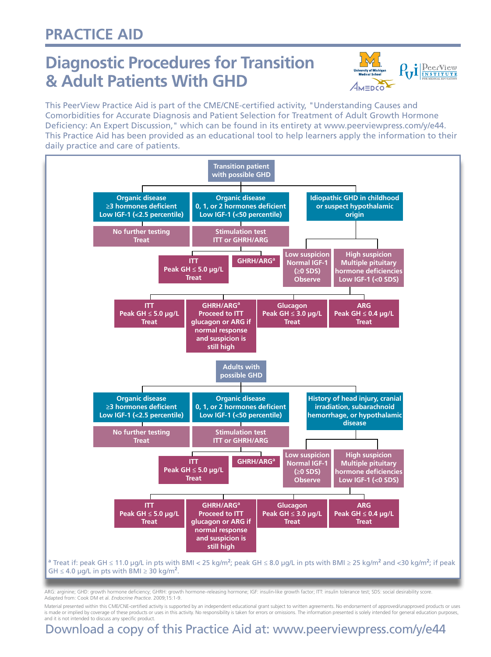### **Practice AID**

## **Diagnostic Procedures for Transition & Adult Patients With GHD**



This PeerView Practice Aid is part of the CME/CNE-certified activity, "Understanding Causes and Comorbidities for Accurate Diagnosis and Patient Selection for Treatment of Adult Growth Hormone Deficiency: An Expert Discussion," which can be found in its entirety at www.peerviewpress.com/y/e44. This Practice Aid has been provided as an educational tool to help learners apply the information to their daily practice and care of patients.



ARG: arginine; GHD: growth hormone deficiency; GHRH: growth hormone–releasing hormone; IGF: insulin-like growth factor; ITT: insulin tolerance test; SDS: social desirability score. Adapted from: Cook DM et al. *Endocrine Practice*. 2009;15:1-9.

Material presented within this CME/CNE-certified activity is supported by an independent educational grant subject to written agreements. No endorsement of approved/unapproved products or uses is made or implied by coverage of these products or uses in this activity. No responsibility is taken for errors or omissions. The information presented is solely intended for general education purposes, and it is not intended to discuss any specific product.

### Download a copy of this Practice Aid at: www.peerviewpress.com/y/e44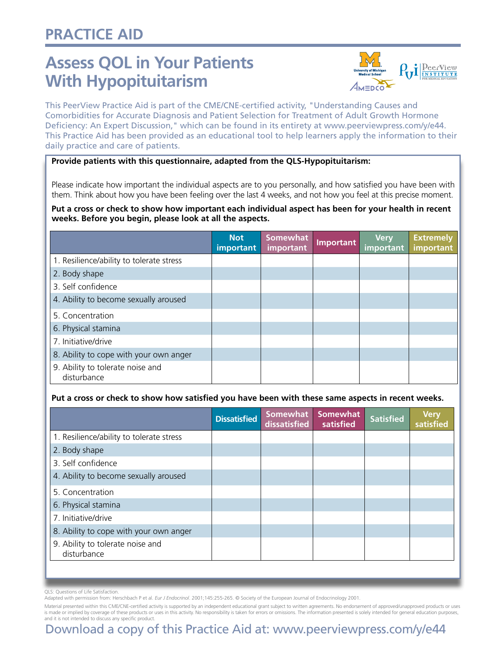## **Practice AID**

# **Assess QOL in Your Patients With Hypopituitarism**



This PeerView Practice Aid is part of the CME/CNE-certified activity, "Understanding Causes and Comorbidities for Accurate Diagnosis and Patient Selection for Treatment of Adult Growth Hormone Deficiency: An Expert Discussion," which can be found in its entirety at www.peerviewpress.com/y/e44. This Practice Aid has been provided as an educational tool to help learners apply the information to their daily practice and care of patients.

#### **Provide patients with this questionnaire, adapted from the QLS-Hypopituitarism:**

Please indicate how important the individual aspects are to you personally, and how satisfied you have been with them. Think about how you have been feeling over the last 4 weeks, and not how you feel at this precise moment.

#### **Put a cross or check to show how important each individual aspect has been for your health in recent weeks. Before you begin, please look at all the aspects.**

|                                                 | <b>Not</b><br>important | <b>Somewhat</b><br>important | Important | <b>Very</b><br>important | <b>Extremely</b><br>important |
|-------------------------------------------------|-------------------------|------------------------------|-----------|--------------------------|-------------------------------|
| 1. Resilience/ability to tolerate stress        |                         |                              |           |                          |                               |
| 2. Body shape                                   |                         |                              |           |                          |                               |
| 3. Self confidence                              |                         |                              |           |                          |                               |
| 4. Ability to become sexually aroused           |                         |                              |           |                          |                               |
| 5. Concentration                                |                         |                              |           |                          |                               |
| 6. Physical stamina                             |                         |                              |           |                          |                               |
| 7. Initiative/drive                             |                         |                              |           |                          |                               |
| 8. Ability to cope with your own anger          |                         |                              |           |                          |                               |
| 9. Ability to tolerate noise and<br>disturbance |                         |                              |           |                          |                               |

#### **Put a cross or check to show how satisfied you have been with these same aspects in recent weeks.**

| <b>Dissatisfied</b> | Somewhat<br>dissatisfied | <b>Somewhat</b><br>satisfied | <b>Satisfied</b> | <b>Very</b><br>satisfied |
|---------------------|--------------------------|------------------------------|------------------|--------------------------|
|                     |                          |                              |                  |                          |
|                     |                          |                              |                  |                          |
|                     |                          |                              |                  |                          |
|                     |                          |                              |                  |                          |
|                     |                          |                              |                  |                          |
|                     |                          |                              |                  |                          |
|                     |                          |                              |                  |                          |
|                     |                          |                              |                  |                          |
|                     |                          |                              |                  |                          |
|                     |                          |                              |                  |                          |

QLS: Questions of Life Satisfaction.

Adapted with permission from: Herschbach P et al. *Eur J Endocrinol*. 2001;145:255-265. © Society of the European Journal of Endocrinology 2001.

Material presented within this CME/CNE-certified activity is supported by an independent educational grant subject to written agreements. No endorsement of approved/unapproved products or uses is made or implied by coverage of these products or uses in this activity. No responsibility is taken for errors or omissions. The information presented is solely intended for general education purposes, and it is not intended to discuss any specific product.